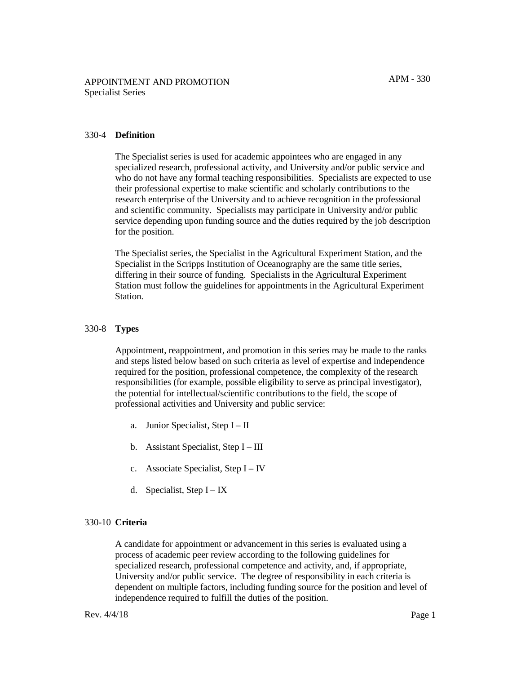#### 330-4 **Definition**

The Specialist series is used for academic appointees who are engaged in any specialized research, professional activity, and University and/or public service and who do not have any formal teaching responsibilities. Specialists are expected to use their professional expertise to make scientific and scholarly contributions to the research enterprise of the University and to achieve recognition in the professional and scientific community. Specialists may participate in University and/or public service depending upon funding source and the duties required by the job description for the position.

The Specialist series, the Specialist in the Agricultural Experiment Station, and the Specialist in the Scripps Institution of Oceanography are the same title series, differing in their source of funding. Specialists in the Agricultural Experiment Station must follow the guidelines for appointments in the Agricultural Experiment Station.

#### 330-8 **Types**

Appointment, reappointment, and promotion in this series may be made to the ranks and steps listed below based on such criteria as level of expertise and independence required for the position, professional competence, the complexity of the research responsibilities (for example, possible eligibility to serve as principal investigator), the potential for intellectual/scientific contributions to the field, the scope of professional activities and University and public service:

- a. Junior Specialist, Step I II
- b. Assistant Specialist, Step  $I III$
- c. Associate Specialist, Step I IV
- d. Specialist, Step  $I IX$

#### 330-10 **Criteria**

A candidate for appointment or advancement in this series is evaluated using a process of academic peer review according to the following guidelines for specialized research, professional competence and activity, and, if appropriate, University and/or public service. The degree of responsibility in each criteria is dependent on multiple factors, including funding source for the position and level of independence required to fulfill the duties of the position.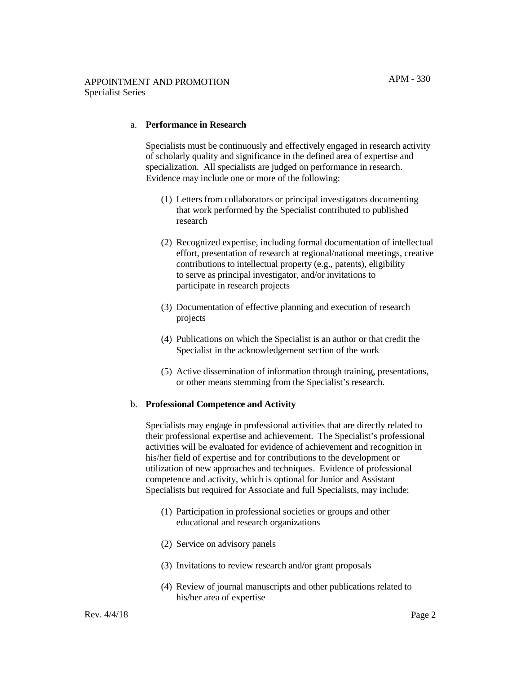#### a. **Performance in Research**

Specialists must be continuously and effectively engaged in research activity of scholarly quality and significance in the defined area of expertise and specialization. All specialists are judged on performance in research. Evidence may include one or more of the following:

- (1) Letters from collaborators or principal investigators documenting that work performed by the Specialist contributed to published research
- (2) Recognized expertise, including formal documentation of intellectual effort, presentation of research at regional/national meetings, creative contributions to intellectual property (e.g., patents), eligibility to serve as principal investigator, and/or invitations to participate in research projects
- (3) Documentation of effective planning and execution of research projects
- (4) Publications on which the Specialist is an author or that credit the Specialist in the acknowledgement section of the work
- (5) Active dissemination of information through training, presentations, or other means stemming from the Specialist's research.

#### b. **Professional Competence and Activity**

Specialists may engage in professional activities that are directly related to their professional expertise and achievement. The Specialist's professional activities will be evaluated for evidence of achievement and recognition in his/her field of expertise and for contributions to the development or utilization of new approaches and techniques. Evidence of professional competence and activity, which is optional for Junior and Assistant Specialists but required for Associate and full Specialists, may include:

- (1) Participation in professional societies or groups and other educational and research organizations
- (2) Service on advisory panels
- (3) Invitations to review research and/or grant proposals
- (4) Review of journal manuscripts and other publications related to his/her area of expertise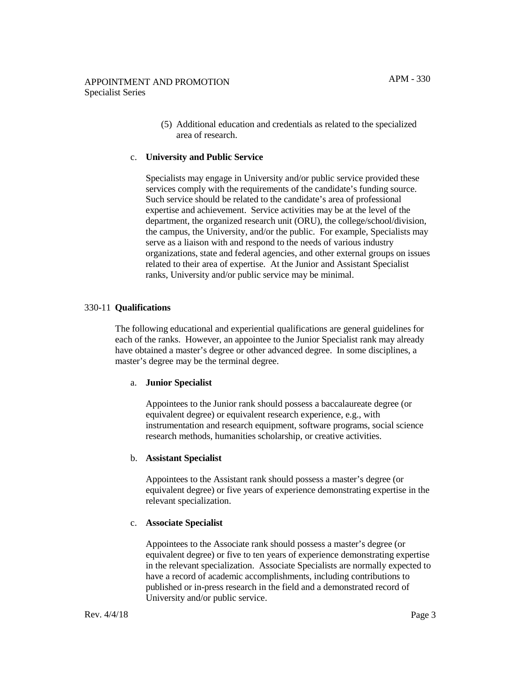(5) Additional education and credentials as related to the specialized area of research.

# c. **University and Public Service**

Specialists may engage in University and/or public service provided these services comply with the requirements of the candidate's funding source. Such service should be related to the candidate's area of professional expertise and achievement. Service activities may be at the level of the department, the organized research unit (ORU), the college/school/division, the campus, the University, and/or the public. For example, Specialists may serve as a liaison with and respond to the needs of various industry organizations, state and federal agencies, and other external groups on issues related to their area of expertise. At the Junior and Assistant Specialist ranks, University and/or public service may be minimal.

## 330-11 **Qualifications**

The following educational and experiential qualifications are general guidelines for each of the ranks. However, an appointee to the Junior Specialist rank may already have obtained a master's degree or other advanced degree. In some disciplines, a master's degree may be the terminal degree.

#### a. **Junior Specialist**

Appointees to the Junior rank should possess a baccalaureate degree (or equivalent degree) or equivalent research experience, e.g., with instrumentation and research equipment, software programs, social science research methods, humanities scholarship, or creative activities.

#### b. **Assistant Specialist**

Appointees to the Assistant rank should possess a master's degree (or equivalent degree) or five years of experience demonstrating expertise in the relevant specialization.

#### c. **Associate Specialist**

Appointees to the Associate rank should possess a master's degree (or equivalent degree) or five to ten years of experience demonstrating expertise in the relevant specialization. Associate Specialists are normally expected to have a record of academic accomplishments, including contributions to published or in-press research in the field and a demonstrated record of University and/or public service.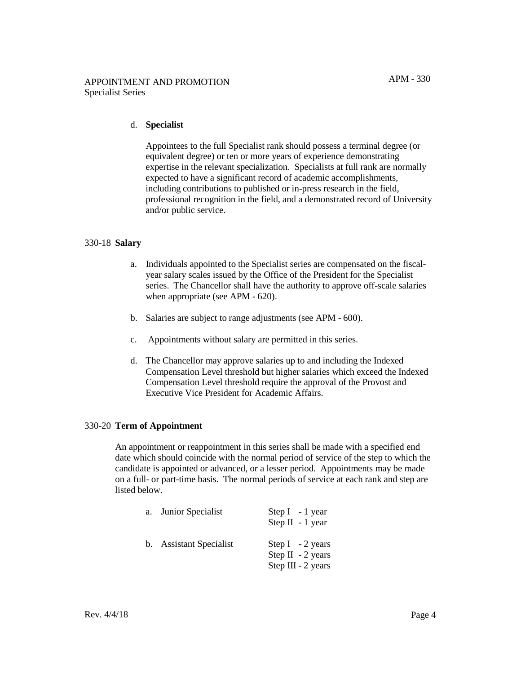### d. **Specialist**

Appointees to the full Specialist rank should possess a terminal degree (or equivalent degree) or ten or more years of experience demonstrating expertise in the relevant specialization. Specialists at full rank are normally expected to have a significant record of academic accomplishments, including contributions to published or in-press research in the field, professional recognition in the field, and a demonstrated record of University and/or public service.

#### 330-18 **Salary**

- a. Individuals appointed to the Specialist series are compensated on the fiscalyear salary scales issued by the Office of the President for the Specialist series. The Chancellor shall have the authority to approve off-scale salaries when appropriate (see APM - 620).
- b. Salaries are subject to range adjustments (see APM 600).
- c. Appointments without salary are permitted in this series.
- d. The Chancellor may approve salaries up to and including the Indexed Compensation Level threshold but higher salaries which exceed the Indexed Compensation Level threshold require the approval of the Provost and Executive Vice President for Academic Affairs.

# 330-20 **Term of Appointment**

An appointment or reappointment in this series shall be made with a specified end date which should coincide with the normal period of service of the step to which the candidate is appointed or advanced, or a lesser period. Appointments may be made on a full- or part-time basis. The normal periods of service at each rank and step are listed below.

| a. Junior Specialist    | Step $I - 1$ year<br>Step $II - 1$ year                        |
|-------------------------|----------------------------------------------------------------|
| b. Assistant Specialist | Step $I - 2$ years<br>Step II $-2$ years<br>Step III - 2 years |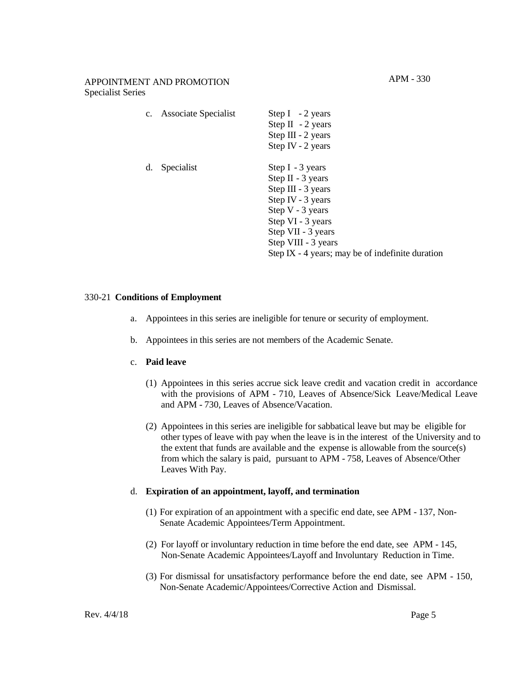|    | c. Associate Specialist | Step I $-2$ years<br>Step II $-2$ years<br>Step III - 2 years<br>Step IV - 2 years                                                                                                                                             |
|----|-------------------------|--------------------------------------------------------------------------------------------------------------------------------------------------------------------------------------------------------------------------------|
| d. | Specialist              | Step I - 3 years<br>Step $II - 3$ years<br>Step III - 3 years<br>Step IV - $3$ years<br>Step V - 3 years<br>Step VI - 3 years<br>Step VII - 3 years<br>Step VIII - 3 years<br>Step IX - 4 years; may be of indefinite duration |

#### 330-21 **Conditions of Employment**

- a. Appointees in this series are ineligible for tenure or security of employment.
- b. Appointees in this series are not members of the Academic Senate.

#### c. **Paid leave**

- (1) Appointees in this series accrue sick leave credit and vacation credit in accordance with the provisions of APM - 710, Leaves of Absence/Sick Leave/Medical Leave and APM - 730, Leaves of Absence/Vacation.
- (2) Appointees in this series are ineligible for sabbatical leave but may be eligible for other types of leave with pay when the leave is in the interest of the University and to the extent that funds are available and the expense is allowable from the source(s) from which the salary is paid, pursuant to APM - 758, Leaves of Absence/Other Leaves With Pay.

# d. **Expiration of an appointment, layoff, and termination**

- (1) For expiration of an appointment with a specific end date, see APM 137, Non-Senate Academic Appointees/Term Appointment.
- (2) For layoff or involuntary reduction in time before the end date, see APM 145, Non-Senate Academic Appointees/Layoff and Involuntary Reduction in Time.
- (3) For dismissal for unsatisfactory performance before the end date, see APM 150, Non-Senate Academic/Appointees/Corrective Action and Dismissal.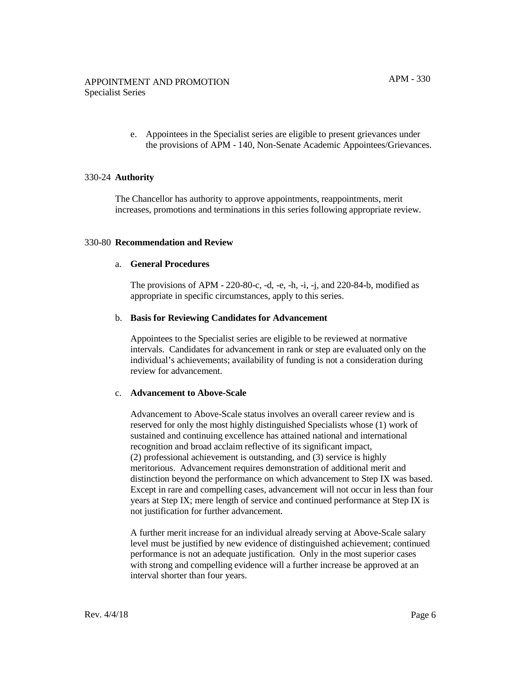e. Appointees in the Specialist series are eligible to present grievances under the provisions of APM - 140, Non-Senate Academic Appointees/Grievances.

## 330-24 **Authority**

The Chancellor has authority to approve appointments, reappointments, merit increases, promotions and terminations in this series following appropriate review.

#### 330-80 **Recommendation and Review**

#### a. **General Procedures**

The provisions of APM - 220-80-c, -d, -e, -h, -i, -j, and 220-84-b, modified as appropriate in specific circumstances, apply to this series.

## b. **Basis for Reviewing Candidates for Advancement**

Appointees to the Specialist series are eligible to be reviewed at normative intervals. Candidates for advancement in rank or step are evaluated only on the individual's achievements; availability of funding is not a consideration during review for advancement.

#### c. **Advancement to Above-Scale**

Advancement to Above-Scale status involves an overall career review and is reserved for only the most highly distinguished Specialists whose (1) work of sustained and continuing excellence has attained national and international recognition and broad acclaim reflective of its significant impact, (2) professional achievement is outstanding, and (3) service is highly meritorious. Advancement requires demonstration of additional merit and distinction beyond the performance on which advancement to Step IX was based. Except in rare and compelling cases, advancement will not occur in less than four years at Step IX; mere length of service and continued performance at Step IX is not justification for further advancement.

A further merit increase for an individual already serving at Above-Scale salary level must be justified by new evidence of distinguished achievement; continued performance is not an adequate justification. Only in the most superior cases with strong and compelling evidence will a further increase be approved at an interval shorter than four years.